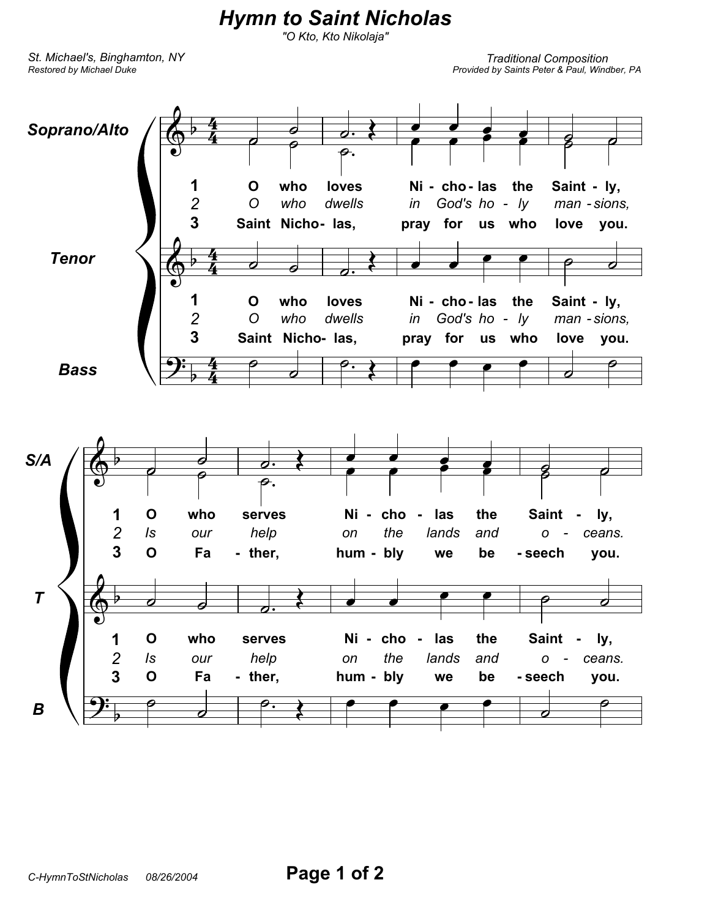## *Hymn to Saint Nicholas*

*"O Kto, Kto Nikolaja"*

*Restored by Michael Duke St. Michael's, Binghamton, NY*

*Traditional Composition Provided by Saints Peter & Paul, Windber, PA*